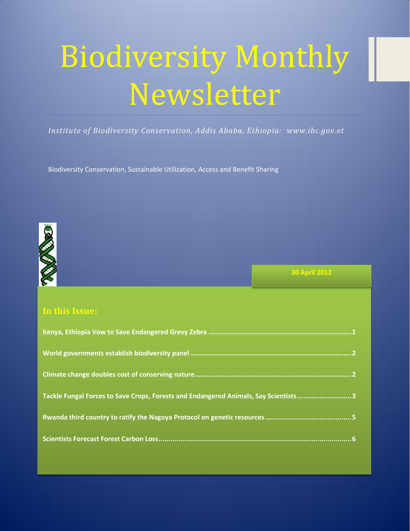# Biodiversity Monthly Newsletter

*Institute of Biodiversity Conservation, Addis Ababa, Ethiopia: www.ibc.gov.et*

Biodiversity Conservation, Sustainable Utilization, Access and Benefit Sharing



**30 April 2012**

# **In this Issue:**

| Tackle Fungal Forces to Save Crops, Forests and Endangered Animals, Say Scientists3 |
|-------------------------------------------------------------------------------------|
|                                                                                     |
|                                                                                     |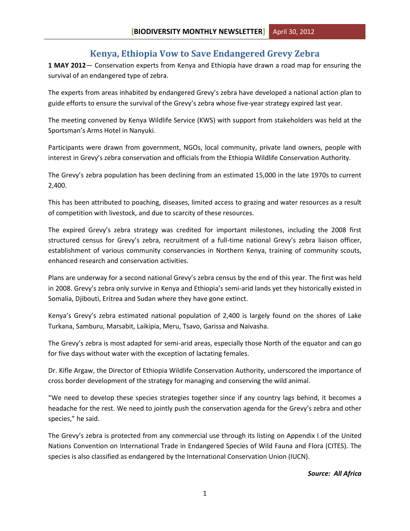## **Kenya, Ethiopia Vow to Save Endangered Grevy Zebra**

<span id="page-1-0"></span>**1 MAY 2012**— Conservation experts from Kenya and Ethiopia have drawn a road map for ensuring the survival of an endangered type of zebra.

The experts from areas inhabited by endangered Grevy's zebra have developed a national action plan to guide efforts to ensure the survival of the Grevy's zebra whose five-year strategy expired last year.

The meeting convened by Kenya Wildlife Service (KWS) with support from stakeholders was held at the Sportsman's Arms Hotel in Nanyuki.

Participants were drawn from government, NGOs, local community, private land owners, people with interest in Grevy's zebra conservation and officials from the Ethiopia Wildlife Conservation Authority.

The Grevy's zebra population has been declining from an estimated 15,000 in the late 1970s to current 2,400.

This has been attributed to poaching, diseases, limited access to grazing and water resources as a result of competition with livestock, and due to scarcity of these resources.

The expired Grevy's zebra strategy was credited for important milestones, including the 2008 first structured census for Grevy's zebra, recruitment of a full-time national Grevy's zebra liaison officer, establishment of various community conservancies in Northern Kenya, training of community scouts, enhanced research and conservation activities.

Plans are underway for a second national Grevy's zebra census by the end of this year. The first was held in 2008. Grevy's zebra only survive in Kenya and Ethiopia's semi-arid lands yet they historically existed in Somalia, Djibouti, Eritrea and Sudan where they have gone extinct.

Kenya's Grevy's zebra estimated national population of 2,400 is largely found on the shores of Lake Turkana, Samburu, Marsabit, Laikipia, Meru, Tsavo, Garissa and Naivasha.

The Grevy's zebra is most adapted for semi-arid areas, especially those North of the equator and can go for five days without water with the exception of lactating females.

Dr. Kifle Argaw, the Director of Ethiopia Wildlife Conservation Authority, underscored the importance of cross border development of the strategy for managing and conserving the wild animal.

"We need to develop these species strategies together since if any country lags behind, it becomes a headache for the rest. We need to jointly push the conservation agenda for the Grevy's zebra and other species," he said.

The Grevy's zebra is protected from any commercial use through its listing on Appendix I of the United Nations Convention on International Trade in Endangered Species of Wild Fauna and Flora (CITES). The species is also classified as endangered by the International Conservation Union (IUCN).

#### *Source: All Africa*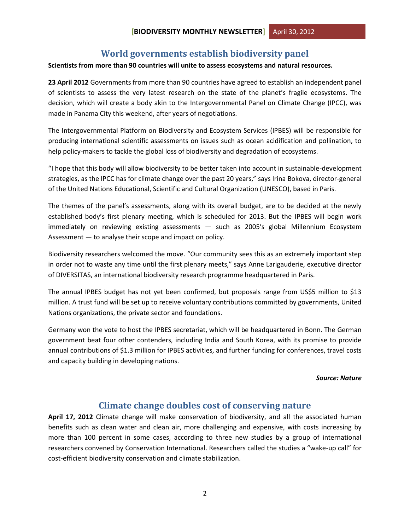# **World governments establish biodiversity panel**

#### <span id="page-2-0"></span>**Scientists from more than 90 countries will unite to assess ecosystems and natural resources.**

**23 April 2012** Governments from more than 90 countries have agreed to establish an independent panel of scientists to assess the very latest research on the state of the planet's fragile ecosystems. The decision, which will create a body akin to the Intergovernmental Panel on Climate Change (IPCC), was made in Panama City this weekend, after years of negotiations.

The Intergovernmental Platform on Biodiversity and Ecosystem Services (IPBES) will be responsible for producing international scientific assessments on issues such as ocean acidification and pollination, to help policy-makers to tackle the global loss of biodiversity and degradation of ecosystems.

"I hope that this body will allow biodiversity to be better taken into account in sustainable-development strategies, as the IPCC has for climate change over the past 20 years," says Irina Bokova, director-general of the United Nations Educational, Scientific and Cultural Organization (UNESCO), based in Paris.

The themes of the panel's assessments, along with its overall budget, are to be decided at the newly established body's first plenary meeting, which is scheduled for 2013. But the IPBES will begin work immediately on reviewing existing assessments — such as 2005′s global Millennium Ecosystem Assessment — to analyse their scope and impact on policy.

Biodiversity researchers welcomed the move. "Our community sees this as an extremely important step in order not to waste any time until the first plenary meets," says Anne Larigauderie, executive director of DIVERSITAS, an international biodiversity research programme headquartered in Paris.

The annual IPBES budget has not yet been confirmed, but proposals range from US\$5 million to \$13 million. A trust fund will be set up to receive voluntary contributions committed by governments, United Nations organizations, the private sector and foundations.

Germany won the vote to host the IPBES secretariat, which will be headquartered in Bonn. The German government beat four other contenders, including India and South Korea, with its promise to provide annual contributions of \$1.3 million for IPBES activities, and further funding for conferences, travel costs and capacity building in developing nations.

#### *Source: Nature*

## **Climate change doubles cost of conserving nature**

<span id="page-2-1"></span>**April 17, 2012** Climate change will make conservation of biodiversity, and all the associated human benefits such as clean water and clean air, more challenging and expensive, with costs increasing by more than 100 percent in some cases, according to three new studies by a group of international researchers convened by Conservation International. Researchers called the studies a "wake-up call" for cost-efficient biodiversity conservation and climate stabilization.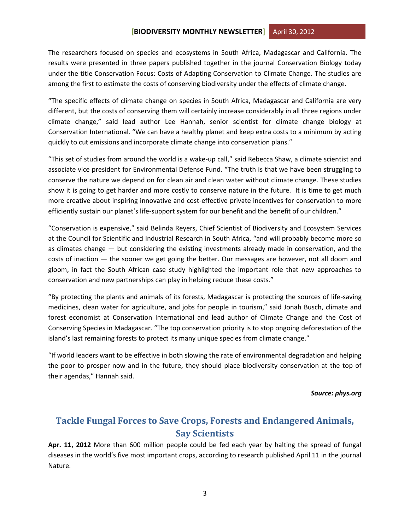The researchers focused on species and ecosystems in South Africa, Madagascar and California. The results were presented in three papers published together in the journal Conservation Biology today under the title Conservation Focus: Costs of Adapting Conservation to Climate Change. The studies are among the first to estimate the costs of conserving biodiversity under the effects of climate change.

"The specific effects of climate change on species in South Africa, Madagascar and California are very different, but the costs of conserving them will certainly increase considerably in all three regions under climate change," said lead author Lee Hannah, senior scientist for climate change biology at Conservation International. "We can have a healthy planet and keep extra costs to a minimum by acting quickly to cut emissions and incorporate climate change into conservation plans."

"This set of studies from around the world is a wake-up call," said Rebecca Shaw, a climate scientist and associate vice president for Environmental Defense Fund. "The truth is that we have been struggling to conserve the nature we depend on for clean air and clean water without climate change. These studies show it is going to get harder and more costly to conserve nature in the future. It is time to get much more creative about inspiring innovative and cost-effective private incentives for conservation to more efficiently sustain our planet's life-support system for our benefit and the benefit of our children."

"Conservation is expensive," said Belinda Reyers, Chief Scientist of Biodiversity and Ecosystem Services at the Council for Scientific and Industrial Research in South Africa, "and will probably become more so as climates change — but considering the existing investments already made in conservation, and the costs of inaction — the sooner we get going the better. Our messages are however, not all doom and gloom, in fact the South African case study highlighted the important role that new approaches to conservation and new partnerships can play in helping reduce these costs."

"By protecting the plants and animals of its forests, Madagascar is protecting the sources of life-saving medicines, clean water for agriculture, and jobs for people in tourism," said Jonah Busch, climate and forest economist at Conservation International and lead author of Climate Change and the Cost of Conserving Species in Madagascar. "The top conservation priority is to stop ongoing deforestation of the island's last remaining forests to protect its many unique species from climate change."

"If world leaders want to be effective in both slowing the rate of environmental degradation and helping the poor to prosper now and in the future, they should place biodiversity conservation at the top of their agendas," Hannah said.

#### *Source: phys.org*

# <span id="page-3-0"></span>**Tackle Fungal Forces to Save Crops, Forests and Endangered Animals, Say Scientists**

**Apr. 11, 2012** More than 600 million people could be fed each year by halting the spread of fungal diseases in the world's five most important crops, according to research published April 11 in the journal Nature.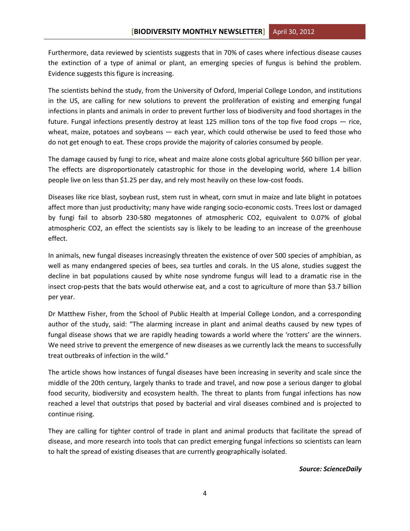Furthermore, data reviewed by scientists suggests that in 70% of cases where infectious disease causes the extinction of a type of animal or plant, an emerging species of fungus is behind the problem. Evidence suggests this figure is increasing.

The scientists behind the study, from the University of Oxford, Imperial College London, and institutions in the US, are calling for new solutions to prevent the proliferation of existing and emerging fungal infections in plants and animals in order to prevent further loss of biodiversity and food shortages in the future. Fungal infections presently destroy at least 125 million tons of the top five food crops — rice, wheat, maize, potatoes and soybeans — each year, which could otherwise be used to feed those who do not get enough to eat. These crops provide the majority of calories consumed by people.

The damage caused by fungi to rice, wheat and maize alone costs global agriculture \$60 billion per year. The effects are disproportionately catastrophic for those in the developing world, where 1.4 billion people live on less than \$1.25 per day, and rely most heavily on these low-cost foods.

Diseases like rice blast, soybean rust, stem rust in wheat, corn smut in maize and late blight in potatoes affect more than just productivity; many have wide ranging socio-economic costs. Trees lost or damaged by fungi fail to absorb 230-580 megatonnes of atmospheric CO2, equivalent to 0.07% of global atmospheric CO2, an effect the scientists say is likely to be leading to an increase of the greenhouse effect.

In animals, new fungal diseases increasingly threaten the existence of over 500 species of amphibian, as well as many endangered species of bees, sea turtles and corals. In the US alone, studies suggest the decline in bat populations caused by white nose syndrome fungus will lead to a dramatic rise in the insect crop-pests that the bats would otherwise eat, and a cost to agriculture of more than \$3.7 billion per year.

Dr Matthew Fisher, from the School of Public Health at Imperial College London, and a corresponding author of the study, said: "The alarming increase in plant and animal deaths caused by new types of fungal disease shows that we are rapidly heading towards a world where the 'rotters' are the winners. We need strive to prevent the emergence of new diseases as we currently lack the means to successfully treat outbreaks of infection in the wild."

The article shows how instances of fungal diseases have been increasing in severity and scale since the middle of the 20th century, largely thanks to trade and travel, and now pose a serious danger to global food security, biodiversity and ecosystem health. The threat to plants from fungal infections has now reached a level that outstrips that posed by bacterial and viral diseases combined and is projected to continue rising.

They are calling for tighter control of trade in plant and animal products that facilitate the spread of disease, and more research into tools that can predict emerging fungal infections so scientists can learn to halt the spread of existing diseases that are currently geographically isolated.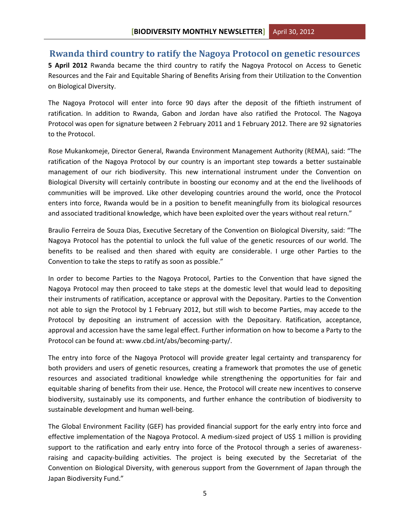### <span id="page-5-0"></span>**Rwanda third country to ratify the Nagoya Protocol on genetic resources**

**5 April 2012** Rwanda became the third country to ratify the Nagoya Protocol on Access to Genetic Resources and the Fair and Equitable Sharing of Benefits Arising from their Utilization to the Convention on Biological Diversity.

The Nagoya Protocol will enter into force 90 days after the deposit of the fiftieth instrument of ratification. In addition to Rwanda, Gabon and Jordan have also ratified the Protocol. The Nagoya Protocol was open for signature between 2 February 2011 and 1 February 2012. There are 92 signatories to the Protocol.

Rose Mukankomeje, Director General, Rwanda Environment Management Authority (REMA), said: "The ratification of the Nagoya Protocol by our country is an important step towards a better sustainable management of our rich biodiversity. This new international instrument under the Convention on Biological Diversity will certainly contribute in boosting our economy and at the end the livelihoods of communities will be improved. Like other developing countries around the world, once the Protocol enters into force, Rwanda would be in a position to benefit meaningfully from its biological resources and associated traditional knowledge, which have been exploited over the years without real return."

Braulio Ferreira de Souza Dias, Executive Secretary of the Convention on Biological Diversity, said: "The Nagoya Protocol has the potential to unlock the full value of the genetic resources of our world. The benefits to be realised and then shared with equity are considerable. I urge other Parties to the Convention to take the steps to ratify as soon as possible."

In order to become Parties to the Nagoya Protocol, Parties to the Convention that have signed the Nagoya Protocol may then proceed to take steps at the domestic level that would lead to depositing their instruments of ratification, acceptance or approval with the Depositary. Parties to the Convention not able to sign the Protocol by 1 February 2012, but still wish to become Parties, may accede to the Protocol by depositing an instrument of accession with the Depositary. Ratification, acceptance, approval and accession have the same legal effect. Further information on how to become a Party to the Protocol can be found at: www.cbd.int/abs/becoming-party/.

The entry into force of the Nagoya Protocol will provide greater legal certainty and transparency for both providers and users of genetic resources, creating a framework that promotes the use of genetic resources and associated traditional knowledge while strengthening the opportunities for fair and equitable sharing of benefits from their use. Hence, the Protocol will create new incentives to conserve biodiversity, sustainably use its components, and further enhance the contribution of biodiversity to sustainable development and human well-being.

The Global Environment Facility (GEF) has provided financial support for the early entry into force and effective implementation of the Nagoya Protocol. A medium-sized project of US\$ 1 million is providing support to the ratification and early entry into force of the Protocol through a series of awarenessraising and capacity-building activities. The project is being executed by the Secretariat of the Convention on Biological Diversity, with generous support from the Government of Japan through the Japan Biodiversity Fund."